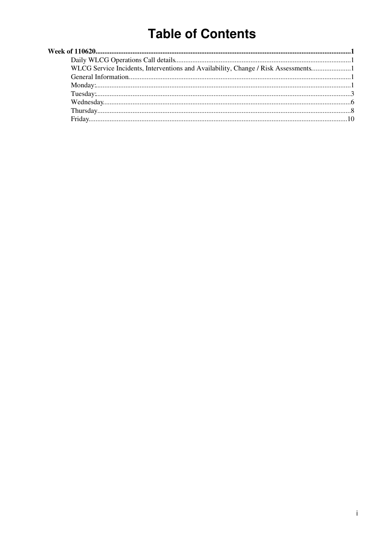# **Table of Contents**

| WLCG Service Incidents, Interventions and Availability, Change / Risk Assessments |  |
|-----------------------------------------------------------------------------------|--|
|                                                                                   |  |
|                                                                                   |  |
|                                                                                   |  |
|                                                                                   |  |
|                                                                                   |  |
|                                                                                   |  |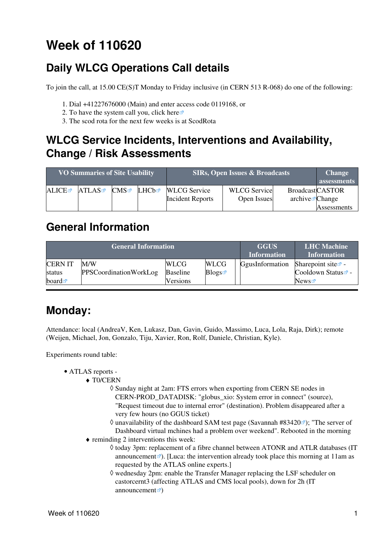# <span id="page-1-0"></span>**Week of 110620**

## <span id="page-1-1"></span>**Daily WLCG Operations Call details**

To join the call, at 15.00 CE(S)T Monday to Friday inclusive (in CERN 513 R-068) do one of the following:

- 1. Dial +41227676000 (Main) and enter access code 0119168, or
- 2. To have the system call you, click [here](https://audioconf.cern.ch/call/0119168) $\Phi$
- 3. The scod rota for the next few weeks is at [ScodRota](https://twiki.cern.ch/twiki/bin/view/LCG/ScodRota)

### <span id="page-1-2"></span>**WLCG Service Incidents, Interventions and Availability, Change / Risk Assessments**

| <b>VO Summaries of Site Usability</b> |       |     | <b>SIRs, Open Issues &amp; Broadcasts</b> | <b>Change</b><br>assessments |                     |                          |             |
|---------------------------------------|-------|-----|-------------------------------------------|------------------------------|---------------------|--------------------------|-------------|
| ALICE                                 | ATLAS | CMS | LHCb☞                                     | <b>WLCG</b> Service          | <b>WLCG</b> Service | <b>BroadcastCASTOR</b>   |             |
|                                       |       |     |                                           | <b>Incident Reports</b>      | Open Issues         | $\archive\vec{z}$ Change |             |
|                                       |       |     |                                           |                              |                     |                          | Assessments |

### <span id="page-1-3"></span>**General Information**

|                      | <b>General Information</b>    | <b>GGUS</b><br><b>Information</b> | <b>LHC</b> Machine<br><b>Information</b> |                 |                                |
|----------------------|-------------------------------|-----------------------------------|------------------------------------------|-----------------|--------------------------------|
| <b>CERNIT</b>        | M/W                           | <b>WLCG</b>                       | <b>WLCG</b>                              | GgusInformation | Sharepoint site $\mathbb{Z}$ - |
| status               | <b>PPSCoordinationWorkLog</b> | <b>Baseline</b>                   | Blogs                                    |                 | Cooldown Status <sup>®</sup> - |
| board $\blacksquare$ |                               | <b>Versions</b>                   |                                          |                 | News                           |

## <span id="page-1-4"></span>**Monday:**

Attendance: local (AndreaV, Ken, Lukasz, Dan, Gavin, Guido, Massimo, Luca, Lola, Raja, Dirk); remote (Weijen, Michael, Jon, Gonzalo, Tiju, Xavier, Ron, Rolf, Daniele, Christian, Kyle).

Experiments round table:

- ATLAS [reports](https://twiki.cern.ch/twiki/bin/view/Atlas/ADCOperationsDailyReports)  •
	- ◆ T0/CERN
		- Sunday night at 2am: FTS errors when exporting from CERN SE nodes in ◊ CERN-PROD\_DATADISK: "globus\_xio: System error in connect" (source), "Request timeout due to internal error" (destination). Problem disappeared after a very few hours (no GGUS ticket)
		- ♦ unavailability of the dashboard SAM test page [\(Savannah #83420](http://savannah.cern.ch/bugs/?83420)); "The server of Dashboard virtual mchines had a problem over weekend". Rebooted in the morning
	- reminding 2 interventions this week: ♦
		- $\Diamond$  today 3pm: replacement of a fibre channel between ATONR and ATLR databases ([IT](http://it-support-servicestatus.web.cern.ch/it-support-servicestatus/110620-ATLAS.htm) [announcement](http://it-support-servicestatus.web.cern.ch/it-support-servicestatus/110620-ATLAS.htm)  $\mathbb{Z}$ ). [Luca: the intervention already took place this morning at 11am as requested by the ATLAS online experts.]
		- ◊ wednesday 2pm: enable the Transfer Manager replacing the [LSF](https://twiki.cern.ch/twiki/bin/view/LCG/LSF) scheduler on castorcernt3 (affecting ATLAS and CMS local pools), down for 2h [\(IT](http://it-support-servicestatus.web.cern.ch/it-support-servicestatus/ScheduledInterventionsArchive/110622-CASTORATLAST3-Transfer-Manager.htm) [announcement](http://it-support-servicestatus.web.cern.ch/it-support-servicestatus/ScheduledInterventionsArchive/110622-CASTORATLAST3-Transfer-Manager.htm)  $\vec{r}$ )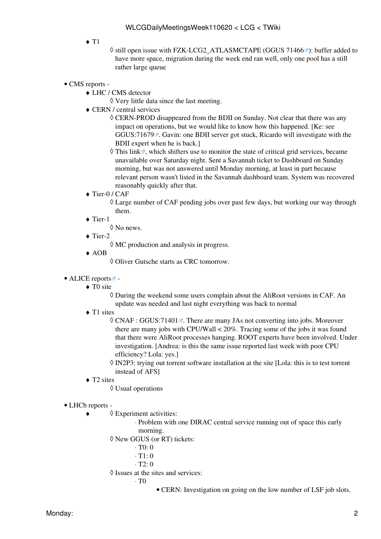$\triangleleft$  T<sub>1</sub>

◊ still open issue with FZK-LCG2\_ATLASMCTAPE [\(GGUS 71466](https://ggus.eu/ws/ticket_info.php?ticket=71466)ø): buffer added to have more space, migration during the week end ran well, only one pool has a still rather large queue

- CMS [reports](https://twiki.cern.ch/twiki/bin/view/CMS/FacOps_WLCGdailyreports) -
	- LHC / CMS detector ♦
		- ◊ Very little data since the last meeting.
	- CERN / central services ♦
		- CERN-PROD disappeared from the BDII on Sunday. Not clear that there was any ◊ impact on operations, but we would like to know how this happened. [Ke: see [GGUS:71679](https://ggus.eu/ws/ticket_info.php?ticket=71679) . Gavin: one BDII server got stuck, Ricardo will investigate with the BDII expert when he is back.]
		- $\Diamond$  [This link](http://cms-critical-services.cern.ch/)<sup> $\sigma$ </sup>, which shifters use to monitor the state of critical grid services, became unavailable over Saturday night. Sent a Savannah ticket to Dashboard on Sunday morning, but was not answered until Monday morning, at least in part because relevant person wasn't listed in the Savannah dashboard team. System was recovered reasonably quickly after that.
	- ◆ Tier-0 / CAF

Large number of CAF pending jobs over past few days, but working our way through ◊ them.

◆ Tier-1

◊ No news.

◆ Tier-2

◊ MC production and analysis in progress.

AOB ♦

◊ Oliver Gutsche starts as CRC tomorrow.

- ALICE [reports](http://alien2.cern.ch/index.php?option=com_content&view=article&id=75&Itemid=129)<sup>2</sup>
	- ◆ TO site

During the weekend some users complain about the [AliRoot](https://twiki.cern.ch/twiki/bin/edit/LCG/AliRoot?topicparent=LCG.WLCGDailyMeetingsWeek110620;nowysiwyg=1) versions in CAF. An ◊ update was needed and last night everything was back to normal

◆ T1 sites

© CNAF : [GGUS:71401](https://ggus.eu/ws/ticket_info.php?ticket=71401) <sup>®</sup>. There are many JAs not converting into jobs. Moreover there are many jobs with CPU/Wall < 20%. Tracing some of the jobs it was found that there were [AliRoot](https://twiki.cern.ch/twiki/bin/edit/LCG/AliRoot?topicparent=LCG.WLCGDailyMeetingsWeek110620;nowysiwyg=1) processes hanging. ROOT experts have been involved. Under investigation. [Andrea: is this the same issue reported last week with poor CPU efficiency? Lola: yes.]

- ◊ [IN2P3:](https://twiki.cern.ch/twiki/bin/view/LCG/IN2P3) trying out torrent software installation at the site [Lola: this is to test torrent instead of AFS]
- ◆ T2 sites

◊ Usual operations

- LHCb [reports](https://twiki.cern.ch/twiki/bin/view/LHCb/ProductionOperationsWLCGdailyReports) -
	- Experiment activities: ◊ ♦
		- Problem with one DIRAC central service running out of space this early ⋅ morning.
		- New GGUS (or RT) tickets: ◊
			- $\cdot$  T $0$ <sup>.</sup> 0
			- $\cdot$  T1: 0
			- $\cdot$  T<sub>2</sub> $\cdot$  0
		- ◊ Issues at the sites and services:
			- $\cdot$  T<sub>0</sub>
				- CERN: Investigation on going on the low number of [LSF](https://twiki.cern.ch/twiki/bin/view/LCG/LSF) job slots.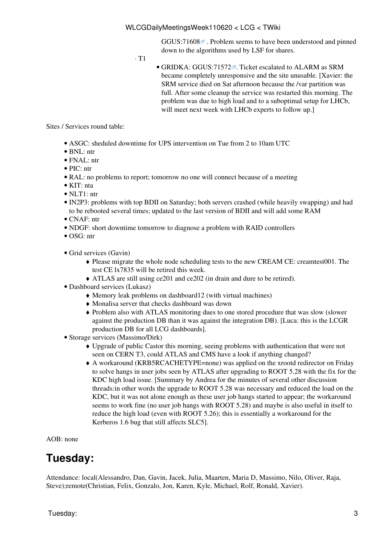GGUS:71608<sup> $\alpha$ </sup>. Problem seems to have been understood and pinned down to the algorithms used by [LSF](https://twiki.cern.ch/twiki/bin/view/LCG/LSF) for shares.

 $\cdot$  T<sub>1</sub>

• GRIDKA: [GGUS:71572](https://ggus.eu/ws/ticket_info.php?ticket=71572)<sup>®</sup>. Ticket escalated to ALARM as SRM became completely unresponsive and the site unusable. [Xavier: the SRM service died on Sat afternoon because the /var partition was full. After some cleanup the service was restarted this morning. The problem was due to high load and to a suboptimal setup for LHCb, will meet next week with LHCb experts to follow up.

Sites / Services round table:

- ASGC: sheduled downtime for UPS intervention on Tue from 2 to 10am UTC
- BNL: ntr
- FNAL: ntr
- PIC: ntr
- [RAL:](https://twiki.cern.ch/twiki/bin/view/LCG/RAL) no problems to report; tomorrow no one will connect because of a meeting
- KIT: nta
- $\bullet$  NLT1: ntr
- [IN2P3:](https://twiki.cern.ch/twiki/bin/view/LCG/IN2P3) problems with top BDII on Saturday; both servers crashed (while heavily swapping) and had to be rebooted several times; updated to the last version of BDII and will add some RAM
- CNAF: ntr
- NDGF: short downtime tomorrow to diagnose a problem with RAID controllers
- OSG: ntr
- Grid services (Gavin)
	- Please migrate the whole node scheduling tests to the new [CREAM](https://twiki.cern.ch/twiki/bin/view/LCG/CREAM) CE: creamtest001. The ♦ test CE lx7835 will be retired this week.
	- ♦ ATLAS are still using ce201 and ce202 (in drain and dure to be retired).
- Dashboard services (Lukasz)
	- ♦ Memory leak problems on dashboard12 (with virtual machines)
	- ♦ Monalisa server that checks dashboard was down
	- Problem also with ATLAS monitoring dues to one stored procedure that was slow (slower ♦ against the production DB than it was against the integration DB). [Luca: this is the LCGR production DB for all LCG dashboards].
- Storage services (Massimo/Dirk)
	- Upgrade of public Castor this morning, seeing problems with authentication that were not ♦ seen on CERN T3, could ATLAS and CMS have a look if anything changed?
	- A workaround (KRB5RCACHETYPE=none) was applied on the xrootd redirector on Friday ♦ to solve hangs in user jobs seen by ATLAS after upgrading to ROOT 5.28 with the fix for the KDC high load issue. [Summary by Andrea for the minutes of several other discussion threads:in other words the upgrade to ROOT 5.28 was necessary and reduced the load on the KDC, but it was not alone enough as these user job hangs started to appear; the workaround seems to work fine (no user job hangs with ROOT 5.28) and maybe is also useful in itself to reduce the high load (even with ROOT 5.26); this is essentially a workaround for the Kerberos 1.6 bug that still affects SLC5].

 $AOR: none$ 

### <span id="page-3-0"></span>**Tuesday:**

Attendance: local(Alessandro, Dan, Gavin, Jacek, Julia, Maarten, Maria D, Massimo, Nilo, Oliver, Raja, Steve);remote(Christian, Felix, Gonzalo, Jon, Karen, Kyle, Michael, Rolf, Ronald, Xavier).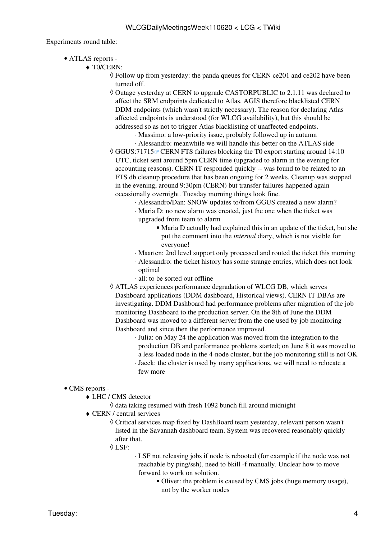Experiments round table:

- ATLAS [reports](https://twiki.cern.ch/twiki/bin/view/Atlas/ADCOperationsDailyReports)  •
	- ◆ T0/CERN:
		- Follow up from yesterday: the panda queues for CERN ce201 and ce202 have been ◊ turned off.
		- Outage yesterday at CERN to upgrade CASTORPUBLIC to 2.1.11 was declared to ◊ affect the SRM endpoints dedicated to Atlas. AGIS therefore blacklisted CERN DDM endpoints (which wasn't strictly necessary). The reason for declaring Atlas affected endpoints is understood (for WLCG availability), but this should be addressed so as not to trigger Atlas blacklisting of unaffected endpoints.
			- ⋅ Massimo: a low-priority issue, probably followed up in autumn
			- ⋅ Alessandro: meanwhile we will handle this better on the ATLAS side
		- © [GGUS:71715](https://ggus.eu/ws/ticket_info.php?ticket=71715) <sup>®</sup> CERN FTS failures blocking the T0 export starting around 14:10 UTC, ticket sent around 5pm CERN time (upgraded to alarm in the evening for accounting reasons). CERN IT responded quickly -- was found to be related to an FTS db cleanup procedure that has been ongoing for 2 weeks. Cleanup was stopped in the evening, around 9:30pm (CERN) but transfer failures happened again occasionally overnight. Tuesday morning things look fine.
			- ⋅ Alessandro/Dan: SNOW updates to/from GGUS created a new alarm?
			- Maria D: no new alarm was created, just the one when the ticket was ⋅ upgraded from team to alarm
				- Maria D actually had explained this in an update of the ticket, but she put the comment into the *internal* diary, which is not visible for everyone!
			- ⋅ Maarten: 2nd level support only processed and routed the ticket this morning
			- Alessandro: the ticket history has some strange entries, which does not look ⋅ optimal
			- ⋅ all: to be sorted out offline
		- ATLAS experiences performance degradation of WLCG DB, which serves ◊ Dashboard applications (DDM dashboard, Historical views). CERN IT DBAs are investigating. DDM Dashboard had performance problems after migration of the job monitoring Dashboard to the production server. On the 8th of June the DDM Dashboard was moved to a different server from the one used by job monitoring Dashboard and since then the performance improved.
			- Julia: on May 24 the application was moved from the integration to the ⋅ production DB and performance problems started; on June 8 it was moved to a less loaded node in the 4-node cluster, but the job monitoring still is not OK
			- Jacek: the cluster is used by many applications, we will need to relocate a ⋅ few more

#### • CMS [reports](https://twiki.cern.ch/twiki/bin/view/CMS/FacOps_WLCGdailyreports) -

- LHC / CMS detector ♦
	- ◊ data taking resumed with fresh 1092 bunch fill around midnight
- CERN / central services ♦
	- Critical services map fixed by [DashBoard](https://twiki.cern.ch/twiki/bin/edit/LCG/DashBoard?topicparent=LCG.WLCGDailyMeetingsWeek110620;nowysiwyg=1) team yesterday, relevant person wasn't ◊ listed in the Savannah dashboard team. System was recovered reasonably quickly after that.
	- [LSF:](https://twiki.cern.ch/twiki/bin/view/LCG/LSF) ◊

[LSF](https://twiki.cern.ch/twiki/bin/view/LCG/LSF) not releasing jobs if node is rebooted (for example if the node was not ⋅ reachable by ping/ssh), need to bkill -f manually. Unclear how to move forward to work on solution.

Oliver: the problem is caused by CMS jobs (huge memory usage), • not by the worker nodes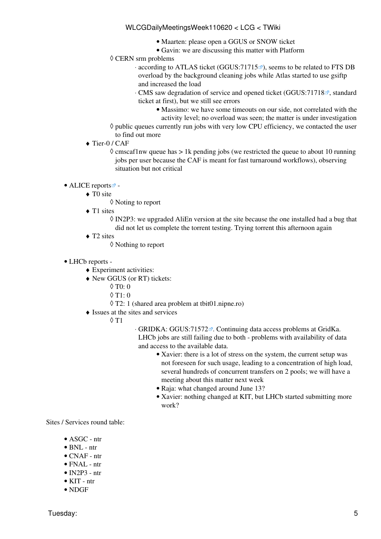- Maarten: please open a GGUS or SNOW ticket
- Gavin: we are discussing this matter with Platform
- ◊ CERN srm problems
	- · according to ATLAS ticket [\(GGUS:71715](https://ggus.eu/ws/ticket_info.php?ticket=71715)<sup>®</sup>), seems to be related to FTS DB overload by the background cleaning jobs while Atlas started to use gsiftp and increased the load
	- ⋅ CMS saw degradation of service and opened ticket [\(GGUS:71718](https://ggus.eu/ws/ticket_info.php?ticket=71718) <sup>a</sup>, standard ticket at first), but we still see errors
		- Massimo: we have some timeouts on our side, not correlated with the activity level; no overload was seen; the matter is under investigation
- ◊ public queues currently run jobs with very low CPU efficiency, we contacted the user
- to find out more
- ◆ Tier-0 / CAF

◊ cmscaf1nw queue has > 1k pending jobs (we restricted the queue to about 10 running jobs per user because the CAF is meant for fast turnaround workflows), observing situation but not critical

- ALICE [reports](http://alien2.cern.ch/index.php?option=com_content&view=article&id=75&Itemid=129)<sup>2</sup>
	- ◆ TO site
		- ◊ Noting to report
	- ◆ T1 sites

◊ [IN2P3:](https://twiki.cern.ch/twiki/bin/view/LCG/IN2P3) we upgraded [AliEn](https://twiki.cern.ch/twiki/bin/edit/LCG/AliEn?topicparent=LCG.WLCGDailyMeetingsWeek110620;nowysiwyg=1) version at the site because the one installed had a bug that did not let us complete the torrent testing. Trying torrent this afternoon again

◆ T2 sites

◊ Nothing to report

- LHCb [reports](https://twiki.cern.ch/twiki/bin/view/LHCb/ProductionOperationsWLCGdailyReports) -
	- ♦ Experiment activities:
	- New GGUS (or RT) tickets: ♦
		- ◊ T0: 0
		- $\lozenge$  T1: 0
		- ◊ T2: 1 (shared area problem at tbit01.nipne.ro)
	- Issues at the sites and services ♦
		- T1 ◊
- GRIDKA: [GGUS:71572](https://ggus.eu/ws/ticket_info.php?ticket=71572) . Continuing data access problems at [GridKa.](https://twiki.cern.ch/twiki/bin/view/LCG/GridKa) ⋅ LHCb jobs are still failing due to both - problems with availability of data and access to the available data.
	- Xavier: there is a lot of stress on the system, the current setup was not foreseen for such usage, leading to a concentration of high load, several hundreds of concurrent transfers on 2 pools; we will have a meeting about this matter next week
	- Raja: what changed around June 13?
	- Xavier: nothing changed at KIT, but LHCb started submitting more work?

Sites / Services round table:

- $\bullet$  ASGC ntr
- BNL ntr
- CNAF ntr
- FNAL ntr
- $\bullet$  [IN2P3](https://twiki.cern.ch/twiki/bin/view/LCG/IN2P3)  ntr
- KIT ntr
- NDGF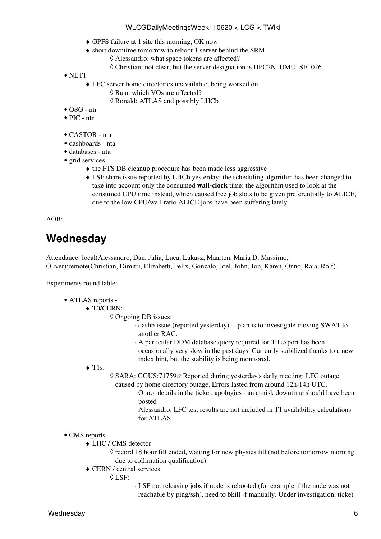- ♦ GPFS failure at 1 site this morning, OK now
- short downtime tomorrow to reboot 1 server behind the SRM ♦
	- ◊ Alessandro: what space tokens are affected?
		- ◊ Christian: not clear, but the server designation is [HPC2N\\_](https://twiki.cern.ch/twiki/bin/edit/LCG/HPC2N?topicparent=LCG.WLCGDailyMeetingsWeek110620;nowysiwyg=1)UMU\_SE\_026
- NLT1
	- LFC server home directories unavailable, being worked on ♦
		- ◊ Raja: which VOs are affected?
		- ◊ Ronald: ATLAS and possibly LHCb
- OSG ntr
- $\bullet$  PIC ntr
- CASTOR nta
- dashboards nta
- databases nta
- grid services
	- ♦ the FTS DB cleanup procedure has been made less aggressive
	- [LSF](https://twiki.cern.ch/twiki/bin/view/LCG/LSF) share issue reported by LHCb yesterday: the scheduling algorithm has been changed to ♦ take into account only the consumed **wall-clock** time; the algorithm used to look at the consumed CPU time instead, which caused free job slots to be given preferentially to ALICE, due to the low CPU/wall ratio ALICE jobs have been suffering lately

AOB:

### <span id="page-6-0"></span>**Wednesday**

Attendance: local(Alessandro, Dan, Julia, Luca, Lukasz, Maarten, Maria D, Massimo, Oliver);remote(Christian, Dimitri, Elizabeth, Felix, Gonzalo, Joel, John, Jon, Karen, Onno, Raja, Rolf).

Experiments round table:

- ATLAS [reports](https://twiki.cern.ch/twiki/bin/view/Atlas/ADCOperationsDailyReports)  •
	- ◆ T0/CERN:

Ongoing DB issues: ◊

- ⋅ dashb issue (reported yesterday) -- plan is to investigate moving SWAT to another RAC.
- A particular DDM database query required for T0 export has been ⋅ occasionally very slow in the past days. Currently stabilized thanks to a new index hint, but the stability is being monitored.
- ◆ T1s:
- ◊ SARA: [GGUS:71759](https://ggus.eu/ws/ticket_info.php?ticket=71759) <sup>a</sup> Reported during yesterday's daily meeting: LFC outage caused by home directory outage. Errors lasted from around 12h-14h UTC.
	- Onno: details in the ticket, apologies an at-risk downtime should have been ⋅ posted
	- Alessandro: LFC test results are not included in T1 availability calculations ⋅ for ATLAS
- CMS [reports](https://twiki.cern.ch/twiki/bin/view/CMS/FacOps_WLCGdailyreports) -
	- LHC / CMS detector ♦

◊ record 18 hour fill ended, waiting for new physics fill (not before tomorrow morning due to collimation qualification)

- CERN / central services ♦
	- [LSF:](https://twiki.cern.ch/twiki/bin/view/LCG/LSF) ◊

[LSF](https://twiki.cern.ch/twiki/bin/view/LCG/LSF) not releasing jobs if node is rebooted (for example if the node was not ⋅ reachable by ping/ssh), need to bkill -f manually. Under investigation, ticket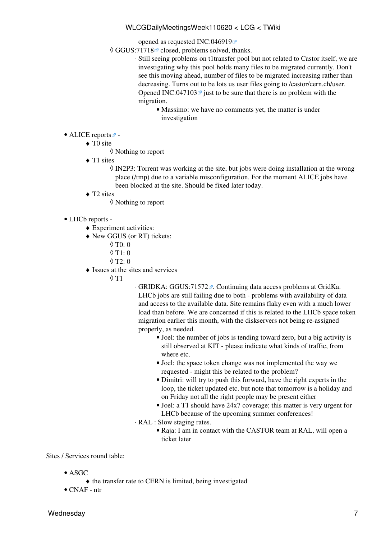opened as requested [INC:046919](https://cern.service-now.com/service-portal?id=ticket&n=INC046919)

© GGUS:71718<sup>®</sup> closed, problems solved, thanks.

- Still seeing problems on t1transfer pool but not related to Castor itself, we are ⋅ investigating why this pool holds many files to be migrated currently. Don't see this moving ahead, number of files to be migrated increasing rather than decreasing. Turns out to be lots us user files going to /castor/cern.ch/user. Opened [INC:047103](https://cern.service-now.com/service-portal?id=ticket&n=INC047103) $\vec{v}$  just to be sure that there is no problem with the migration.
	- Massimo: we have no comments yet, the matter is under investigation
- ALICE [reports](http://alien2.cern.ch/index.php?option=com_content&view=article&id=75&Itemid=129)
	- ◆ TO site
		- ◊ Nothing to report
	- ◆ T1 sites
		- ◊ [IN2P3:](https://twiki.cern.ch/twiki/bin/view/LCG/IN2P3) Torrent was working at the site, but jobs were doing installation at the wrong place (/tmp) due to a variable misconfiguration. For the moment ALICE jobs have been blocked at the site. Should be fixed later today.
	- ◆ T2 sites
		- ◊ Nothing to report
- LHCb [reports](https://twiki.cern.ch/twiki/bin/view/LHCb/ProductionOperationsWLCGdailyReports)  •
	- ♦ Experiment activities:
	- New GGUS (or RT) tickets: ♦
		- $\lozenge$  T<sub>0</sub>: 0
		- $\lozenge$  T1: 0
		- $\lozenge$  T2: 0
	- Issues at the sites and services ♦
		- T1 ◊

GRIDKA: [GGUS:71572](https://ggus.eu/ws/ticket_info.php?ticket=71572) . Continuing data access problems at [GridKa.](https://twiki.cern.ch/twiki/bin/view/LCG/GridKa) ⋅ LHCb jobs are still failing due to both - problems with availability of data and access to the available data. Site remains flaky even with a much lower load than before. We are concerned if this is related to the LHCb space token migration earlier this month, with the diskservers not being re-assigned properly, as needed.

- Joel: the number of jobs is tending toward zero, but a big activity is still observed at KIT - please indicate what kinds of traffic, from where etc.
- Joel: the space token change was not implemented the way we requested - might this be related to the problem?
- Dimitri: will try to push this forward, have the right experts in the loop, the ticket updated etc. but note that tomorrow is a holiday and on Friday not all the right people may be present either
- Joel: a T1 should have 24x7 coverage; this matter is very urgent for LHCb because of the upcoming summer conferences!
- [RAL](https://twiki.cern.ch/twiki/bin/view/LCG/RAL) : Slow staging rates. ⋅
	- Raja: I am in contact with the CASTOR team at [RAL,](https://twiki.cern.ch/twiki/bin/view/LCG/RAL) will open a ticket later

Sites / Services round table:

- ASGC
	- ♦ the transfer rate to CERN is limited, being investigated
- CNAF ntr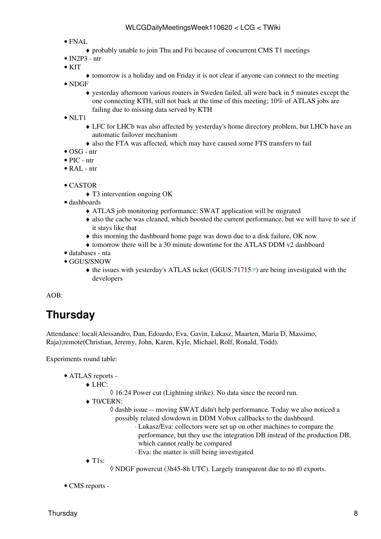- FNAL
	- ♦ probably unable to join Thu and Fri because of concurrent CMS T1 meetings
- [IN2P3](https://twiki.cern.ch/twiki/bin/view/LCG/IN2P3)  ntr
- $\bullet$  KIT
- ♦ tomorrow is a holiday and on Friday it is not clear if anyone can connect to the meeting
- NDGF
	- yesterday afternoon various routers in Sweden failed, all were back in 5 minutes except the ♦ one connecting KTH, still not back at the time of this meeting; 10% of ATLAS jobs are failing due to missing data served by KTH

• NLT1

- LFC for LHCb was also affected by yesterday's home directory problem, but LHCb have an ♦ automatic failover mechanism
- ♦ also the FTA was affected, which may have caused some FTS transfers to fail
- OSG ntr
- PIC ntr
- [RAL](https://twiki.cern.ch/twiki/bin/view/LCG/RAL) ntr
- CASTOR
	- ♦ T3 intervention ongoing OK
- dashboards
	- ♦ ATLAS job monitoring performance: SWAT application will be migrated
	- also the cache was cleaned, which boosted the current performance, but we will have to see if ♦ it stays like that
	- ♦ this morning the dashboard home page was down due to a disk failure, OK now
	- ♦ tomorrow there will be a 30 minute downtime for the ATLAS DDM v2 dashboard
- databases nta
- GGUS/SNOW
	- $\blacklozenge$  the issues with yesterday's ATLAS ticket ([GGUS:71715](https://ggus.eu/ws/ticket_info.php?ticket=71715) $\blacktriangledown$ ) are being investigated with the developers

 $AOB^+$ 

### <span id="page-8-0"></span>**Thursday**

Attendance: local(Alessandro, Dan, Edoardo, Eva, Gavin, Lukasz, Maarten, Maria D, Massimo, Raja);remote(Christian, Jeremy, John, Karen, Kyle, Michael, Rolf, Ronald, Todd).

Experiments round table:

- ATLAS [reports](https://twiki.cern.ch/twiki/bin/view/Atlas/ADCOperationsDailyReports)  •
	- LHC: ♦
		- ◊ 16:24 Power cut (Lightning strike). No data since the record run.
	- ◆ T0/CERN:
		- $\Diamond$  dashb issue -- moving SWAT didn't help performance. Today we also noticed a possibly related slowdown in DDM Vobox callbacks to the dashboard.
			- Lukasz/Eva: collectors were set up on other machines to compare the ⋅ performance, but they use the integration DB instead of the production DB, which cannot really be compared
			- ⋅ Eva: the matter is still being investigated
	- ◆ T1s:
- ◊ NDGF powercut (3h45-8h UTC). Largely transparent due to no t0 exports.
- CMS [reports](https://twiki.cern.ch/twiki/bin/view/CMS/FacOps_WLCGdailyreports) -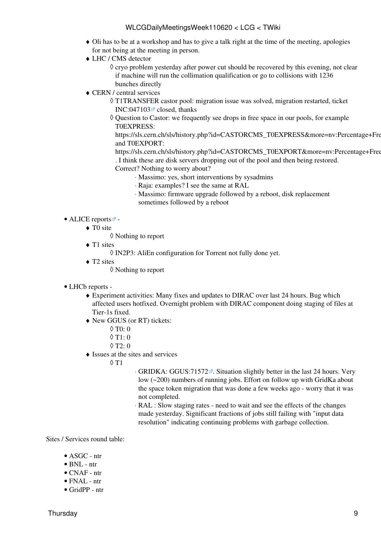- Oli has to be at a workshop and has to give a talk right at the time of the meeting, apologies ♦ for not being at the meeting in person.
- LHC / CMS detector ♦
	- ◊ cryo problem yesterday after power cut should be recovered by this evening, not clear if machine will run the collimation qualification or go to collisions with 1236 bunches directly
- CERN / central services ♦
	- [T1TRANSFER](https://twiki.cern.ch/twiki/bin/edit/LCG/T1TRANSFER?topicparent=LCG.WLCGDailyMeetingsWeek110620;nowysiwyg=1) castor pool: migration issue was solved, migration restarted, ticket ◊ [INC:047103](https://cern.service-now.com/service-portal?id=ticket&n=INC047103) $\vec{r}$  closed, thanks
	- Question to Castor: we frequently see drops in free space in our pools, for example ◊ [T0EXPRESS](https://twiki.cern.ch/twiki/bin/edit/LCG/T0EXPRESS?topicparent=LCG.WLCGDailyMeetingsWeek110620;nowysiwyg=1):

https://sls.cern.ch/sls/history.php?id=CASTORCMS\_T0EXPRESS&more=nv:Percentage+Fre and [T0EXPORT:](https://twiki.cern.ch/twiki/bin/edit/LCG/T0EXPORT?topicparent=LCG.WLCGDailyMeetingsWeek110620;nowysiwyg=1)

https://sls.cern.ch/sls/history.php?id=CASTORCMS\_T0EXPORT&more=nv:Percentage+Free . I think these are disk servers dropping out of the pool and then being restored. Correct? Nothing to worry about?

- ⋅ Massimo: yes, short interventions by sysadmins
- ⋅ Raja: examples? I see the same at [RAL](https://twiki.cern.ch/twiki/bin/view/LCG/RAL)
- Massimo: firmware upgrade followed by a reboot, disk replacement ⋅ sometimes followed by a reboot
- ALICE [reports](http://alien2.cern.ch/index.php?option=com_content&view=article&id=75&Itemid=129)
	- ◆ TO site
		- ◊ Nothing to report
	- ◆ T1 sites
		- ◊ [IN2P3:](https://twiki.cern.ch/twiki/bin/view/LCG/IN2P3) [AliEn](https://twiki.cern.ch/twiki/bin/edit/LCG/AliEn?topicparent=LCG.WLCGDailyMeetingsWeek110620;nowysiwyg=1) configuration for Torrent not fully done yet.
	- ◆ T2 sites
		- ◊ Nothing to report
- LHCb [reports](https://twiki.cern.ch/twiki/bin/view/LHCb/ProductionOperationsWLCGdailyReports) -
	- Experiment activities: Many fixes and updates to DIRAC over last 24 hours. Bug which ♦ affected users hotfixed. Overnight problem with DIRAC component doing staging of files at Tier-1s fixed.
	- New GGUS (or RT) tickets: ♦
		- $\lozenge$  T<sub>0</sub>: 0
		- $\lozenge$  T<sub>1</sub>: 0
		- ◊ T2: 0
	- Issues at the sites and services ♦
		- T1 ◊
- ⋅ GRIDKA: [GGUS:71572](https://ggus.eu/ws/ticket_info.php?ticket=71572) a, Situation slightly better in the last 24 hours. Very low (~200) numbers of running jobs. Effort on follow up with [GridKa](https://twiki.cern.ch/twiki/bin/view/LCG/GridKa) about the space token migration that was done a few weeks ago - worry that it was not completed.
- [RAL](https://twiki.cern.ch/twiki/bin/view/LCG/RAL) : Slow staging rates need to wait and see the effects of the changes ⋅ made yesterday. Significant fractions of jobs still failing with "input data resolution" indicating continuing problems with garbage collection.

Sites / Services round table:

- ASGC ntr
- BNL ntr
- CNAF ntr
- $\bullet$  FNAL ntr
- [GridPP](https://twiki.cern.ch/twiki/bin/view/LCG/GridPP) ntr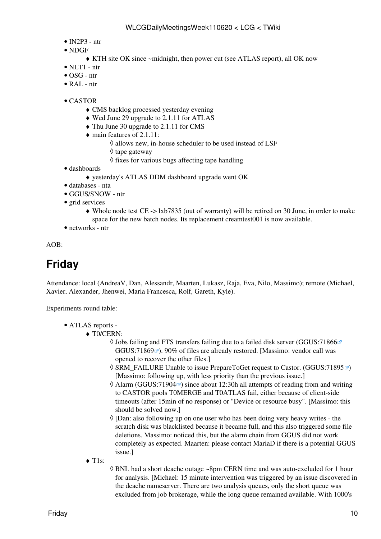- $\bullet$  [IN2P3](https://twiki.cern.ch/twiki/bin/view/LCG/IN2P3)  ntr
- NDGF
	- ♦ KTH site OK since ~midnight, then power cut (see ATLAS report), all OK now
- $\bullet$  NLT1 ntr
- OSG ntr
- [RAL](https://twiki.cern.ch/twiki/bin/view/LCG/RAL) ntr
- CASTOR
	- ♦ CMS backlog processed yesterday evening
	- ♦ Wed June 29 upgrade to 2.1.11 for ATLAS
	- ♦ Thu June 30 upgrade to 2.1.11 for CMS
	- main features of 2.1.11:
		- ◊ allows new, in-house scheduler to be used instead of [LSF](https://twiki.cern.ch/twiki/bin/view/LCG/LSF)
		- ◊ tape gateway
		- $\Diamond$  fixes for various bugs affecting tape handling
- dashboards
	- ♦ yesterday's ATLAS DDM dashboard upgrade went OK
- databases nta
- GGUS/SNOW ntr
- grid services
	- Whole node test CE -> lxb7835 (out of warranty) will be retired on 30 June, in order to make ♦ space for the new batch nodes. Its replacement creamtest001 is now available.
- networks ntr

AOB:

# <span id="page-10-0"></span>**Friday**

Attendance: local (AndreaV, Dan, Alessandr, Maarten, Lukasz, Raja, Eva, Nilo, Massimo); remote (Michael, Xavier, Alexander, Jhenwei, Maria Francesca, Rolf, Gareth, Kyle).

Experiments round table:

- ATLAS [reports](https://twiki.cern.ch/twiki/bin/view/Atlas/ADCOperationsDailyReports)  •
	- ◆ T0/CERN:
		- Jobs failing and FTS transfers failing due to a failed disk server ([GGUS:71866](https://ggus.eu/ws/ticket_info.php?ticket=71866) ◊ [GGUS:71869](https://ggus.eu/ws/ticket_info.php?ticket=71869)<sup> $\alpha$ </sup>). 90% of files are already restored. [Massimo: vendor call was opened to recover the other files.]
		- © SRM\_FAILURE Unable to issue [PrepareToGet](https://twiki.cern.ch/twiki/bin/edit/LCG/PrepareToGet?topicparent=LCG.WLCGDailyMeetingsWeek110620;nowysiwyg=1) request to Castor. ([GGUS:71895](https://ggus.eu/ws/ticket_info.php?ticket=71895)ø) [Massimo: following up, with less priority than the previous issue.]
		- ◊ Alarm [\(GGUS:71904](https://ggus.eu/ws/ticket_info.php?ticket=71904) <sup>a</sup>) since about 12:30h all attempts of reading from and writing to CASTOR pools [T0MERGE](https://twiki.cern.ch/twiki/bin/edit/LCG/T0MERGE?topicparent=LCG.WLCGDailyMeetingsWeek110620;nowysiwyg=1) and [T0ATLAS](https://twiki.cern.ch/twiki/bin/edit/LCG/T0ATLAS?topicparent=LCG.WLCGDailyMeetingsWeek110620;nowysiwyg=1) fail, either because of client-side timeouts (after 15min of no response) or "Device or resource busy". [Massimo: this should be solved now.]
		- ◊ [Dan: also following up on one user who has been doing very heavy writes the scratch disk was blacklisted because it became full, and this also triggered some file deletions. Massimo: noticed this, but the alarm chain from GGUS did not work completely as expected. Maarten: please contact MariaD if there is a potential GGUS issue.]
	- ◆ T1s:
- BNL had a short dcache outage ~8pm CERN time and was auto-excluded for 1 hour ◊ for analysis. [Michael: 15 minute intervention was triggered by an issue discovered in the dcache nameserver. There are two analysis queues, only the short queue was excluded from job brokerage, while the long queue remained available. With 1000's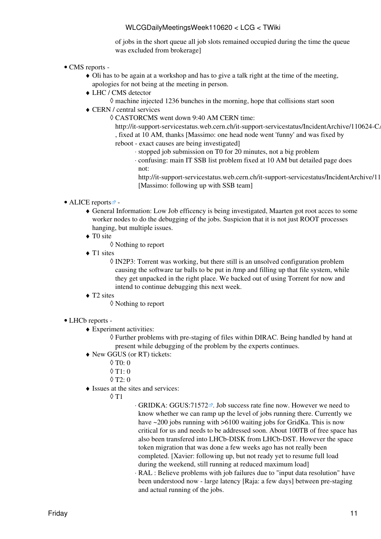of jobs in the short queue all job slots remained occupied during the time the queue was excluded from brokerage]

- CMS [reports](https://twiki.cern.ch/twiki/bin/view/CMS/FacOps_WLCGdailyreports) -
	- Oli has to be again at a workshop and has to give a talk right at the time of the meeting, ♦ apologies for not being at the meeting in person.
	- LHC / CMS detector ♦
		- $\Diamond$  machine injected 1236 bunches in the morning, hope that collisions start soon
	- CERN / central services ♦
		- CASTORCMS went down 9:40 AM CERN time: ◊

http://it-support-servicestatus.web.cern.ch/it-support-servicestatus/IncidentArchive/110624-CA , fixed at 10 AM, thanks [Massimo: one head node went 'funny' and was fixed by reboot - exact causes are being investigated]

- ⋅ stopped job submission on T0 for 20 minutes, not a big problem
- confusing: main IT SSB list problem fixed at 10 AM but detailed page does ⋅ not:
- http://it-support-servicestatus.web.cern.ch/it-support-servicestatus/IncidentArchive/11 [Massimo: following up with SSB team]

#### • ALICE [reports](http://alien2.cern.ch/index.php?option=com_content&view=article&id=75&Itemid=129)<sup>2</sup> -

- General Information: Low Job efficency is being investigated, Maarten got root acces to some ♦ worker nodes to do the debugging of the jobs. Suspicion that it is not just ROOT processes hanging, but multiple issues.
- ◆ TO site
	- ◊ Nothing to report
- T1 sites

[IN2P3:](https://twiki.cern.ch/twiki/bin/view/LCG/IN2P3) Torrent was working, but there still is an unsolved configuration problem ◊ causing the software tar balls to be put in /tmp and filling up that file system, while they get unpacked in the right place. We backed out of using Torrent for now and intend to continue debugging this next week.

- ◆ T2 sites
	- ◊ Nothing to report

#### • LHCb [reports](https://twiki.cern.ch/twiki/bin/view/LHCb/ProductionOperationsWLCGdailyReports) -

- Experiment activities: ♦
	- Further problems with pre-staging of files within DIRAC. Being handled by hand at ◊ present while debugging of the problem by the experts continues.
- New GGUS (or RT) tickets: ♦
	- $\Diamond$  T<sub>0</sub> $\cdot$  <sub>0</sub>
	- $\lozenge$  T1: 0
	- $\Diamond$  T<sub>2</sub>: 0
- Issues at the sites and services: ♦

T1 ◊

- ⋅ GRIDKA: [GGUS:71572](https://ggus.eu/ws/ticket_info.php?ticket=71572) ⋅ Job success rate fine now. However we need to know whether we can ramp up the level of jobs running there. Currently we have ~200 jobs running with >6100 waiting jobs for [GridKa](https://twiki.cern.ch/twiki/bin/view/LCG/GridKa). This is now critical for us and needs to be addressed soon. About 100TB of free space has also been transfered into LHCb-DISK from LHCb-DST. However the space token migration that was done a few weeks ago has not really been completed. [Xavier: following up, but not ready yet to resume full load during the weekend, still running at reduced maximum load]
- [RAL](https://twiki.cern.ch/twiki/bin/view/LCG/RAL) : Believe problems with job failures due to "input data resolution" have ⋅ been understood now - large latency [Raja: a few days] between pre-staging and actual running of the jobs.